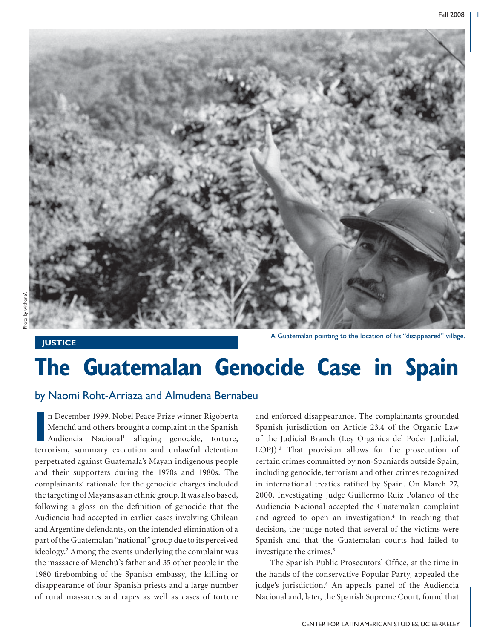

**JUSTICE A** Guatemalan pointing to the location of his "disappeared" village.

## **The Guatemalan Genocide Case in Spain**

## by Naomi Roht-Arriaza and Almudena Bernabeu

II December 1999, Nobel Peace Prize winner Rigoberta<br>
Menchú and others brought a complaint in the Spanish<br>
Audiencia Nacional<sup>1</sup> alleging genocide, torture,<br>
terrorism, summary execution and unlawful detention n December 1999, Nobel Peace Prize winner Rigoberta Menchú and others brought a complaint in the Spanish Audiencia Nacional<sup>1</sup> alleging genocide, torture, perpetrated against Guatemala's Mayan indigenous people and their supporters during the 1970s and 1980s. The complainants' rationale for the genocide charges included the targeting of Mayans as an ethnic group. It was also based, following a gloss on the definition of genocide that the Audiencia had accepted in earlier cases involving Chilean and Argentine defendants, on the intended elimination of a part of the Guatemalan "national" group due to its perceived ideology.2 Among the events underlying the complaint was the massacre of Menchú's father and 35 other people in the 1980 firebombing of the Spanish embassy, the killing or disappearance of four Spanish priests and a large number of rural massacres and rapes as well as cases of torture

and enforced disappearance. The complainants grounded Spanish jurisdiction on Article 23.4 of the Organic Law of the Judicial Branch (Ley Orgánica del Poder Judicial, LOPJ).3 That provision allows for the prosecution of certain crimes committed by non-Spaniards outside Spain, including genocide, terrorism and other crimes recognized in international treaties ratified by Spain. On March 27, 2000, Investigating Judge Guillermo Ruíz Polanco of the Audiencia Nacional accepted the Guatemalan complaint and agreed to open an investigation.<sup>4</sup> In reaching that decision, the judge noted that several of the victims were Spanish and that the Guatemalan courts had failed to investigate the crimes.<sup>5</sup>

The Spanish Public Prosecutors' Office, at the time in the hands of the conservative Popular Party, appealed the judge's jurisdiction.<sup>6</sup> An appeals panel of the Audiencia Nacional and, later, the Spanish Supreme Court, found that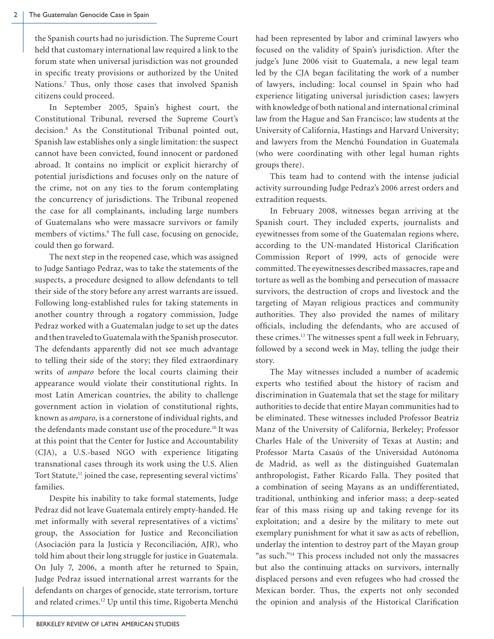the Spanish courts had no jurisdiction. The Supreme Court held that customary international law required a link to the forum state when universal jurisdiction was not grounded in specific treaty provisions or authorized by the United Nations.<sup>7</sup> Thus, only those cases that involved Spanish citizens could proceed.

 In September 2005, Spain's highest court, the Constitutional Tribunal, reversed the Supreme Court's decision.8 As the Constitutional Tribunal pointed out, Spanish law establishes only a single limitation: the suspect cannot have been convicted, found innocent or pardoned abroad. It contains no implicit or explicit hierarchy of potential jurisdictions and focuses only on the nature of the crime, not on any ties to the forum contemplating the concurrency of jurisdictions. The Tribunal reopened the case for all complainants, including large numbers of Guatemalans who were massacre survivors or family members of victims.<sup>9</sup> The full case, focusing on genocide, could then go forward.

 The next step in the reopened case, which was assigned to Judge Santiago Pedraz, was to take the statements of the suspects, a procedure designed to allow defendants to tell their side of the story before any arrest warrants are issued. Following long-established rules for taking statements in another country through a rogatory commission, Judge Pedraz worked with a Guatemalan judge to set up the dates and then traveled to Guatemala with the Spanish prosecutor. The defendants apparently did not see much advantage to telling their side of the story; they filed extraordinary writs of *amparo* before the local courts claiming their appearance would violate their constitutional rights. In most Latin American countries, the ability to challenge government action in violation of constitutional rights, known as *amparo*, is a cornerstone of individual rights, and the defendants made constant use of the procedure.10 It was at this point that the Center for Justice and Accountability (CJA), a U.S.-based NGO with experience litigating transnational cases through its work using the U.S. Alien Tort Statute,<sup>11</sup> joined the case, representing several victims' families.

 Despite his inability to take formal statements, Judge Pedraz did not leave Guatemala entirely empty-handed. He met informally with several representatives of a victims' group, the Association for Justice and Reconciliation (Asociación para la Justicia y Reconciliación, AJR), who told him about their long struggle for justice in Guatemala. On July 7, 2006, a month after he returned to Spain, Judge Pedraz issued international arrest warrants for the defendants on charges of genocide, state terrorism, torture and related crimes.12 Up until this time, Rigoberta Menchú had been represented by labor and criminal lawyers who focused on the validity of Spain's jurisdiction. After the judge's June 2006 visit to Guatemala, a new legal team led by the CJA began facilitating the work of a number of lawyers, including: local counsel in Spain who had experience litigating universal jurisdiction cases; lawyers with knowledge of both national and international criminal law from the Hague and San Francisco; law students at the University of California, Hastings and Harvard University; and lawyers from the Menchú Foundation in Guatemala (who were coordinating with other legal human rights groups there).

 This team had to contend with the intense judicial activity surrounding Judge Pedraz's 2006 arrest orders and extradition requests.

 In February 2008, witnesses began arriving at the Spanish court. They included experts, journalists and eyewitnesses from some of the Guatemalan regions where, according to the UN-mandated Historical Clarification Commission Report of 1999, acts of genocide were committed. The eyewitnesses described massacres, rape and torture as well as the bombing and persecution of massacre survivors, the destruction of crops and livestock and the targeting of Mayan religious practices and community authorities. They also provided the names of military officials, including the defendants, who are accused of these crimes.13 The witnesses spent a full week in February, followed by a second week in May, telling the judge their story.

 The May witnesses included a number of academic experts who testified about the history of racism and discrimination in Guatemala that set the stage for military authorities to decide that entire Mayan communities had to be eliminated. These witnesses included Professor Beatriz Manz of the University of California, Berkeley; Professor Charles Hale of the University of Texas at Austin; and Professor Marta Casaús of the Universidad Autónoma de Madrid, as well as the distinguished Guatemalan anthropologist, Father Ricardo Falla. They posited that a combination of seeing Mayans as an undifferentiated, traditional, unthinking and inferior mass; a deep-seated fear of this mass rising up and taking revenge for its exploitation; and a desire by the military to mete out exemplary punishment for what it saw as acts of rebellion, underlay the intention to destroy part of the Mayan group "as such."<sup>14</sup> This process included not only the massacres but also the continuing attacks on survivors, internally displaced persons and even refugees who had crossed the Mexican border. Thus, the experts not only seconded the opinion and analysis of the Historical Clarification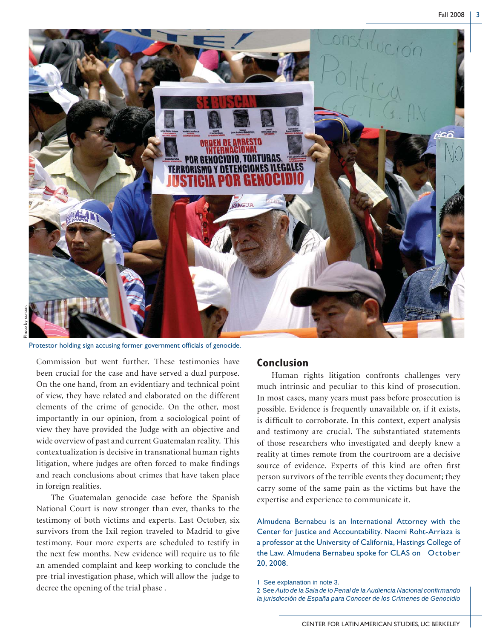

Photo by surizar.

Protestor holding sign accusing former government officials of genocide.

Commission but went further. These testimonies have been crucial for the case and have served a dual purpose. On the one hand, from an evidentiary and technical point of view, they have related and elaborated on the different elements of the crime of genocide. On the other, most importantly in our opinion, from a sociological point of view they have provided the Judge with an objective and wide overview of past and current Guatemalan reality. This contextualization is decisive in transnational human rights litigation, where judges are often forced to make findings and reach conclusions about crimes that have taken place in foreign realities.

 The Guatemalan genocide case before the Spanish National Court is now stronger than ever, thanks to the testimony of both victims and experts. Last October, six survivors from the Ixil region traveled to Madrid to give testimony. Four more experts are scheduled to testify in the next few months. New evidence will require us to file an amended complaint and keep working to conclude the pre-trial investigation phase, which will allow the judge to decree the opening of the trial phase .

## **Conclusion**

 Human rights litigation confronts challenges very much intrinsic and peculiar to this kind of prosecution. In most cases, many years must pass before prosecution is possible. Evidence is frequently unavailable or, if it exists, is difficult to corroborate. In this context, expert analysis and testimony are crucial. The substantiated statements of those researchers who investigated and deeply knew a reality at times remote from the courtroom are a decisive source of evidence. Experts of this kind are often first person survivors of the terrible events they document; they carry some of the same pain as the victims but have the expertise and experience to communicate it.

Almudena Bernabeu is an International Attorney with the Center for Justice and Accountability. Naomi Roht-Arriaza is a professor at the University of California, Hastings College of the Law. Almudena Bernabeu spoke for CLAS on October 20, 2008.

<sup>1</sup> See explanation in note 3.

<sup>2</sup> See *Auto de la Sala de lo Penal de la Audiencia Nacional confi rmando la jurisdicción de España para Conocer de los Crímenes de Genocidio*